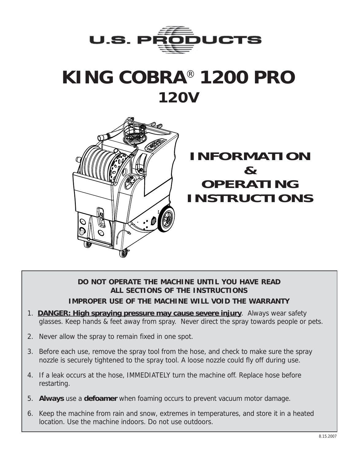

# **KING COBRA**® **1200 PRO 120V**



## **INFORMATION & OPERATING INSTRUCTIONS**

### **DO NOT OPERATE THE MACHINE UNTIL YOU HAVE READ ALL SECTIONS OF THE INSTRUCTIONS IMPROPER USE OF THE MACHINE WILL VOID THE WARRANTY**

- 1. **DANGER: High spraying pressure may cause severe injury**. Always wear safety glasses. Keep hands & feet away from spray. Never direct the spray towards people or pets.
- 2. Never allow the spray to remain fixed in one spot.
- 3. Before each use, remove the spray tool from the hose, and check to make sure the spray nozzle is securely tightened to the spray tool. A loose nozzle could fly off during use.
- 4. If a leak occurs at the hose, IMMEDIATELY turn the machine off. Replace hose before restarting.
- 5. **Always** use a **defoamer** when foaming occurs to prevent vacuum motor damage.
- 6. Keep the machine from rain and snow, extremes in temperatures, and store it in a heated location. Use the machine indoors. Do not use outdoors.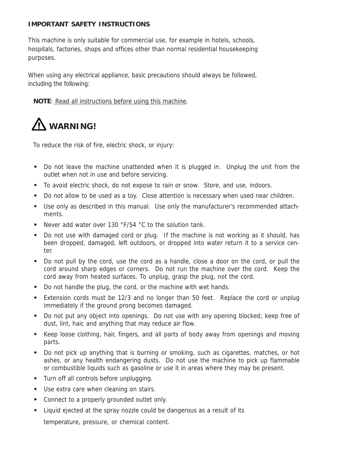#### **IMPORTANT SAFETY INSTRUCTIONS**

This machine is only suitable for commercial use, for example in hotels, schools, hospitals, factories, shops and offices other than normal residential housekeeping purposes.

When using any electrical appliance, basic precautions should always be followed, including the following:

**NOTE**: Read all instructions before using this machine.

## **WARNING!**

To reduce the risk of fire, electric shock, or injury:

- **•** Do not leave the machine unattended when it is plugged in. Unplug the unit from the outlet when not in use and before servicing.
- **•** To avoid electric shock, do not expose to rain or snow. Store, and use, indoors.
- **•** Do not allow to be used as a toy. Close attention is necessary when used near children.
- **•** Use only as described in this manual. Use only the manufacturer's recommended attachments.
- **•** Never add water over 130 °F/54 °C to the solution tank.
- **•** Do not use with damaged cord or plug. If the machine is not working as it should, has been dropped, damaged, left outdoors, or dropped into water return it to a service center.
- **•** Do not pull by the cord, use the cord as a handle, close a door on the cord, or pull the cord around sharp edges or corners. Do not run the machine over the cord. Keep the cord away from heated surfaces. To unplug, grasp the plug, not the cord.
- **•** Do not handle the plug, the cord, or the machine with wet hands.
- **•** Extension cords must be 12/3 and no longer than 50 feet. Replace the cord or unplug immediately if the ground prong becomes damaged.
- **•** Do not put any object into openings. Do not use with any opening blocked; keep free of dust, lint, hair, and anything that may reduce air flow.
- **•** Keep loose clothing, hair, fingers, and all parts of body away from openings and moving parts.
- **•** Do not pick up anything that is burning or smoking, such as cigarettes, matches, or hot ashes, or any health endangering dusts. Do not use the machine to pick up flammable or combustible liquids such as gasoline or use it in areas where they may be present.
- **•** Turn off all controls before unplugging.
- **•** Use extra care when cleaning on stairs.
- **•** Connect to a properly grounded outlet only.
- **•** Liquid ejected at the spray nozzle could be dangerous as a result of its temperature, pressure, or chemical content.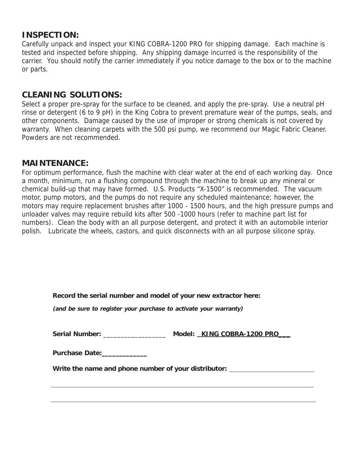## **INSPECTION:**

Carefully unpack and inspect your KING COBRA-1200 PRO for shipping damage. Each machine is tested and inspected before shipping. Any shipping damage incurred is the responsibility of the carrier. You should notify the carrier immediately if you notice damage to the box or to the machine or parts.

## **CLEANING SOLUTIONS:**

Select a proper pre-spray for the surface to be cleaned, and apply the pre-spray. Use a neutral pH rinse or detergent (6 to 9 pH) in the King Cobra to prevent premature wear of the pumps, seals, and other components. Damage caused by the use of improper or strong chemicals is not covered by warranty. When cleaning carpets with the 500 psi pump, we recommend our Magic Fabric Cleaner. Powders are not recommended.

## **MAINTENANCE:**

For optimum performance, flush the machine with clear water at the end of each working day. Once a month, minimum, run a flushing compound through the machine to break up any mineral or chemical build-up that may have formed. U.S. Products "X-1500" is recommended. The vacuum motor, pump motors, and the pumps do not require any scheduled maintenance; however, the motors may require replacement brushes after 1000 - 1500 hours, and the high pressure pumps and unloader valves may require rebuild kits after 500 -1000 hours (refer to machine part list for numbers). Clean the body with an all purpose detergent, and protect it with an automobile interior polish. Lubricate the wheels, castors, and quick disconnects with an all purpose silicone spray.

| Record the serial number and model of your new extractor here: |  |  |  |  |  |
|----------------------------------------------------------------|--|--|--|--|--|
|                                                                |  |  |  |  |  |

**(and be sure to register your purchase to activate your warranty)**

| <b>Serial Number:</b> | Model: KING COBRA-1200 PRO |
|-----------------------|----------------------------|
|-----------------------|----------------------------|

**Purchase Date:**\_\_\_\_\_\_\_\_\_\_\_\_\_

**Write the name and phone number of your distributor:**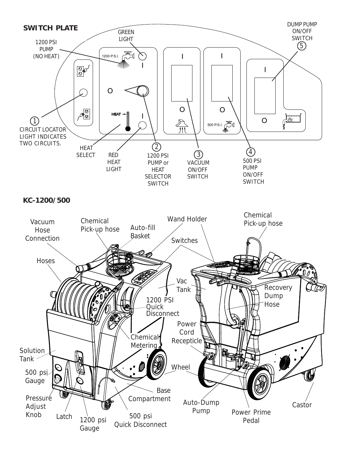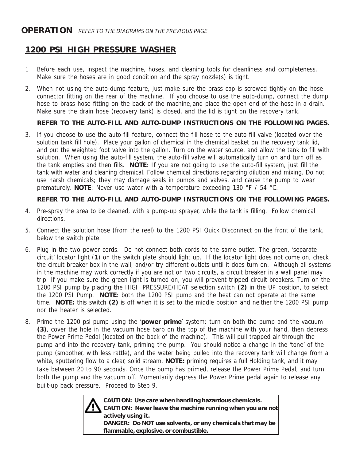## **1200 PSI HIGH PRESSURE WASHER**

- 1 Before each use, inspect the machine, hoses, and cleaning tools for cleanliness and completeness. Make sure the hoses are in good condition and the spray nozzle(s) is tight.
- 2. When not using the auto-dump feature, just make sure the brass cap is screwed tightly on the hose connector fitting on the rear of the machine. If you choose to use the auto-dump, connect the dump hose to brass hose fitting on the back of the machine, and place the open end of the hose in a drain. Make sure the drain hose (recovery tank) is closed, and the lid is tight on the recovery tank.

#### **REFER TO THE AUTO-FILL AND AUTO-DUMP INSTRUCTIONS ON THE FOLLOWING PAGES.**

3. If you choose to use the auto-fill feature, connect the fill hose to the auto-fill valve (located over the solution tank fill hole). Place your gallon of chemical in the chemical basket on the recovery tank lid, and put the weighted foot valve into the gallon. Turn on the water source, and allow the tank to fill with solution. When using the auto-fill system, the auto-fill valve will automatically turn on and turn off as the tank empties and then fills. **NOTE**: If you are not going to use the auto-fill system, just fill the tank with water and cleaning chemical. Follow chemical directions regarding dilution and mixing. Do not use harsh chemicals; they may damage seals in pumps and valves, and cause the pump to wear prematurely. **NOTE**: Never use water with a temperature exceeding 130 °F / 54 °C.

#### **REFER TO THE AUTO-FILL AND AUTO-DUMP INSTRUCTIONS ON THE FOLLOWING PAGES.**

- 4. Pre-spray the area to be cleaned, with a pump-up sprayer, while the tank is filling. Follow chemical directions.
- 5. Connect the solution hose (from the reel) to the 1200 PSI Quick Disconnect on the front of the tank, below the switch plate.
- 6. Plug in the two power cords. Do not connect both cords to the same outlet. The green, 'separate circuit' locator light (**1**) on the switch plate should light up. If the locator light does not come on, check the circuit breaker box in the wall, and/or try different outlets until it does turn on. Although all systems in the machine may work correctly if you are not on two circuits, a circuit breaker in a wall panel may trip. If you make sure the green light is turned on, you will prevent tripped circuit breakers. Turn on the 1200 PSI pump by placing the HIGH PRESSURE/HEAT selection switch **(2)** in the UP position, to select the 1200 PSI Pump. **NOTE**: both the 1200 PSI pump and the heat can not operate at the same time. **NOTE:** this switch **(2)** is off when it is set to the middle position and neither the 1200 PSI pump nor the heater is selected.
- 8. Prime the 1200 psi pump using the '**power prime**' system: turn on both the pump and the vacuum **(3)**, cover the hole in the vacuum hose barb on the top of the machine with your hand, then depress the Power Prime Pedal (located on the back of the machine). This will pull trapped air through the pump and into the recovery tank, priming the pump. You should notice a change in the 'tone' of the pump (smoother, with less rattle), and the water being pulled into the recovery tank will change from a white, sputtering flow to a clear, solid stream. **NOTE:** priming requires a full Holding tank, and it may take between 20 to 90 seconds. Once the pump has primed, release the Power Prime Pedal, and turn both the pump and the vacuum off. Momentarily depress the Power Prime pedal again to release any built-up back pressure. Proceed to Step 9.



**CAUTION: Use care when handling hazardous chemicals. CAUTION: Never leave the machine running when you are not actively using it. DANGER: Do NOT use solvents, or any chemicals that may be flammable, explosive, or combustible.**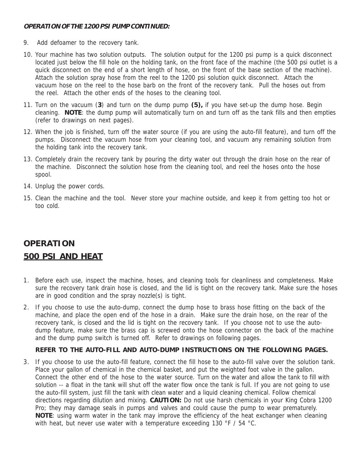#### **OPERATION OF THE 1200 PSI PUMP CONTINUED:**

- 9. Add defoamer to the recovery tank.
- 10. Your machine has two solution outputs. The solution output for the 1200 psi pump is a quick disconnect located just below the fill hole on the holding tank, on the front face of the machine (the 500 psi outlet is a quick disconnect on the end of a short length of hose, on the front of the base section of the machine). Attach the solution spray hose from the reel to the 1200 psi solution quick disconnect. Attach the vacuum hose on the reel to the hose barb on the front of the recovery tank. Pull the hoses out from the reel. Attach the other ends of the hoses to the cleaning tool.
- 11. Turn on the vacuum (**3**) and turn on the dump pump **(5),** if you have set-up the dump hose. Begin cleaning. **NOTE**: the dump pump will automatically turn on and turn off as the tank fills and then empties (refer to drawings on next pages).
- 12. When the job is finished, turn off the water source (if you are using the auto-fill feature), and turn off the pumps. Disconnect the vacuum hose from your cleaning tool, and vacuum any remaining solution from the holding tank into the recovery tank.
- 13. Completely drain the recovery tank by pouring the dirty water out through the drain hose on the rear of the machine. Disconnect the solution hose from the cleaning tool, and reel the hoses onto the hose spool.
- 14. Unplug the power cords.
- 15. Clean the machine and the tool. Never store your machine outside, and keep it from getting too hot or too cold.

## **OPERATION 500 PSI AND HEAT**

- 1. Before each use, inspect the machine, hoses, and cleaning tools for cleanliness and completeness. Make sure the recovery tank drain hose is closed, and the lid is tight on the recovery tank. Make sure the hoses are in good condition and the spray nozzle(s) is tight.
- 2. If you choose to use the auto-dump, connect the dump hose to brass hose fitting on the back of the machine, and place the open end of the hose in a drain. Make sure the drain hose, on the rear of the recovery tank, is closed and the lid is tight on the recovery tank. If you choose not to use the autodump feature, make sure the brass cap is screwed onto the hose connector on the back of the machine and the dump pump switch is turned off. Refer to drawings on following pages.

#### **REFER TO THE AUTO-FILL AND AUTO-DUMP INSTRUCTIONS ON THE FOLLOWING PAGES.**

3. If you choose to use the auto-fill feature, connect the fill hose to the auto-fill valve over the solution tank. Place your gallon of chemical in the chemical basket, and put the weighted foot valve in the gallon. Connect the other end of the hose to the water source. Turn on the water and allow the tank to fill with solution -- a float in the tank will shut off the water flow once the tank is full. If you are not going to use the auto-fill system, just fill the tank with clean water and a liquid cleaning chemical. Follow chemical directions regarding dilution and mixing. **CAUTION:** Do not use harsh chemicals in your King Cobra 1200 Pro; they may damage seals in pumps and valves and could cause the pump to wear prematurely. **NOTE**: using warm water in the tank may improve the efficiency of the heat exchanger when cleaning with heat, but never use water with a temperature exceeding 130 °F / 54 °C.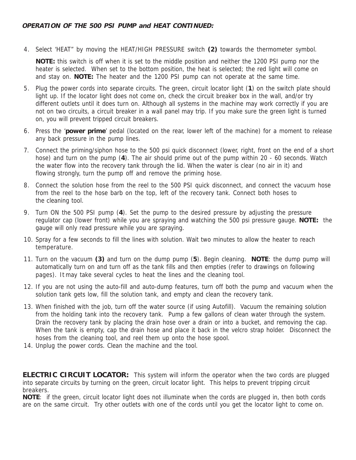4. Select 'HEAT" by moving the HEAT/HIGH PRESSURE switch **(2)** towards the thermometer symbol.

**NOTE:** this switch is off when it is set to the middle position and neither the 1200 PSI pump nor the heater is selected. When set to the bottom position, the heat is selected; the red light will come on and stay on. **NOTE:** The heater and the 1200 PSI pump can not operate at the same time.

- 5. Plug the power cords into separate circuits. The green, circuit locator light (**1**) on the switch plate should light up. If the locator light does not come on, check the circuit breaker box in the wall, and/or try different outlets until it does turn on. Although all systems in the machine may work correctly if you are not on two circuits, a circuit breaker in a wall panel may trip. If you make sure the green light is turned on, you will prevent tripped circuit breakers.
- 6. Press the '**power prime**' pedal (located on the rear, lower left of the machine) for a moment to release any back pressure in the pump lines.
- 7. Connect the priming/siphon hose to the 500 psi quick disconnect (lower, right, front on the end of a short hose) and turn on the pump (**4**). The air should prime out of the pump within 20 - 60 seconds. Watch the water flow into the recovery tank through the lid. When the water is clear (no air in it) and flowing strongly, turn the pump off and remove the priming hose.
- 8. Connect the solution hose from the reel to the 500 PSI quick disconnect, and connect the vacuum hose from the reel to the hose barb on the top, left of the recovery tank. Connect both hoses to the cleaning tool.
- 9. Turn ON the 500 PSI pump (**4**). Set the pump to the desired pressure by adjusting the pressure regulator cap (lower front) while you are spraying and watching the 500 psi pressure gauge. **NOTE:** the gauge will only read pressure while you are spraying.
- 10. Spray for a few seconds to fill the lines with solution. Wait two minutes to allow the heater to reach temperature.
- 11. Turn on the vacuum **(3)** and turn on the dump pump (**5**). Begin cleaning. **NOTE**: the dump pump will automatically turn on and turn off as the tank fills and then empties (refer to drawings on following pages). It may take several cycles to heat the lines and the cleaning tool.
- 12. If you are not using the auto-fill and auto-dump features, turn off both the pump and vacuum when the solution tank gets low, fill the solution tank, and empty and clean the recovery tank.
- 13. When finished with the job, turn off the water source (if using Autofill). Vacuum the remaining solution from the holding tank into the recovery tank. Pump a few gallons of clean water through the system. Drain the recovery tank by placing the drain hose over a drain or into a bucket, and removing the cap. When the tank is empty, cap the drain hose and place it back in the velcro strap holder. Disconnect the hoses from the cleaning tool, and reel them up onto the hose spool.
- 14. Unplug the power cords. Clean the machine and the tool.

**ELECTRIC CIRCUIT LOCATOR:** This system will inform the operator when the two cords are plugged into separate circuits by turning on the green, circuit locator light. This helps to prevent tripping circuit breakers.

**NOTE**: if the green, circuit locator light does not illuminate when the cords are plugged in, then both cords are on the same circuit. Try other outlets with one of the cords until you get the locator light to come on.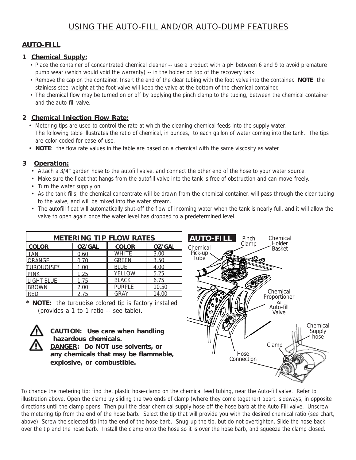## **AUTO-FILL**

#### **1 Chemical Supply:**

- Place the container of concentrated chemical cleaner -- use a product with a pH between 6 and 9 to avoid premature pump wear (which would void the warranty) -- in the holder on top of the recovery tank.
- Remove the cap on the container. Insert the end of the clear tubing with the foot valve into the container. **NOTE**: the stainless steel weight at the foot valve will keep the valve at the bottom of the chemical container.
- The chemical flow may be turned on or off by applying the pinch clamp to the tubing, between the chemical container and the auto-fill valve.

#### **2 Chemical Injection Flow Rate:**

- Metering tips are used to control the rate at which the cleaning chemical feeds into the supply water. The following table illustrates the ratio of chemical, in ounces, to each gallon of water coming into the tank. The tips are color coded for ease of use.
- **NOTE**: the flow rate values in the table are based on a chemical with the same viscosity as water.

#### **3 Operation:**

- Attach a 3/4" garden hose to the autofill valve, and connect the other end of the hose to your water source.
- Make sure the float that hangs from the autofill valve into the tank is free of obstruction and can move freely.
- Turn the water supply on.
- As the tank fills, the chemical concentrate will be drawn from the chemical container, will pass through the clear tubing to the valve, and will be mixed into the water stream.
- The autofill float will automatically shut-off the flow of incoming water when the tank is nearly full, and it will allow the valve to open again once the water level has dropped to a predetermined level.

| <b>METERING TIP FLOW RATES</b> |               |               |               |  |
|--------------------------------|---------------|---------------|---------------|--|
| <b>COLOR</b>                   | <b>OZ/GAL</b> | <b>COLOR</b>  | <b>OZ/GAL</b> |  |
| <b>TAN</b>                     | 0.60          | <b>WHITE</b>  | 3.00          |  |
| <b>LORANGE</b>                 | 0.70          | <b>GREEN</b>  | 3.50          |  |
| TURQUOISE*                     | 1.00          | <b>BLUE</b>   | 4.00          |  |
| PINK                           | 1.25          | <b>YELLOW</b> | 5.25          |  |
| <b>LIGHT BLUE</b>              | 1.75          | <b>BLACK</b>  | 6.75          |  |
| <b>BROWN</b>                   | 2.00          | <b>PURPLE</b> | 10.50         |  |
| l RFD                          | 2.75          | GRAY          | 14.00         |  |

**\* NOTE:** the turquoise colored tip is factory installed (provides a 1 to 1 ratio -- see table).



**CAUTION: Use care when handling hazardous chemicals. DANGER: Do NOT use solvents, or any chemicals that may be flammable, explosive, or combustible.**



To change the metering tip: find the, plastic hose-clamp on the chemical feed tubing, near the Auto-fill valve. Refer to illustration above. Open the clamp by sliding the two ends of clamp (where they come together) apart, sideways, in opposite directions until the clamp opens. Then pull the clear chemical supply hose off the hose barb at the Auto-Fill valve. Unscrew the metering tip from the end of the hose barb. Select the tip that will provide you with the desired chemical ratio (see chart, above). Screw the selected tip into the end of the hose barb. Snug-up the tip, but do not overtighten. Slide the hose back over the tip and the hose barb. Install the clamp onto the hose so it is over the hose barb, and squeeze the clamp closed.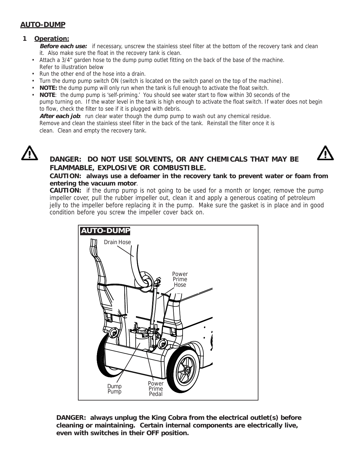#### **AUTO-DUMP**

#### **1 Operation:**

**Before each use:** if necessary, unscrew the stainless steel filter at the bottom of the recovery tank and clean it. Also make sure the float in the recovery tank is clean.

- Attach a 3/4" garden hose to the dump pump outlet fitting on the back of the base of the machine. Refer to illustration below
- Run the other end of the hose into a drain.
- Turn the dump pump switch ON (switch is located on the switch panel on the top of the machine).
- **NOTE:** the dump pump will only run when the tank is full enough to activate the float switch.
- **NOTE**: the dump pump is 'self-priming.' You should see water start to flow within 30 seconds of the pump turning on. If the water level in the tank is high enough to activate the float switch. If water does not begin to flow, check the filter to see if it is plugged with debris.

After each job: run clear water though the dump pump to wash out any chemical residue.

Remove and clean the stainless steel filter in the back of the tank. Reinstall the filter once it is clean. Clean and empty the recovery tank.





### **DANGER: DO NOT USE SOLVENTS, OR ANY CHEMICALS THAT MAY BE FLAMMABLE, EXPLOSIVE OR COMBUSTIBLE.**

#### **CAUTION: always use a defoamer in the recovery tank to prevent water or foam from entering the vacuum motor**.

**CAUTION:** if the dump pump is not going to be used for a month or longer, remove the pump impeller cover, pull the rubber impeller out, clean it and apply a generous coating of petroleum jelly to the impeller before replacing it in the pump. Make sure the gasket is in place and in good condition before you screw the impeller cover back on.



**DANGER: always unplug the King Cobra from the electrical outlet(s) before cleaning or maintaining. Certain internal components are electrically live, even with switches in their OFF position.**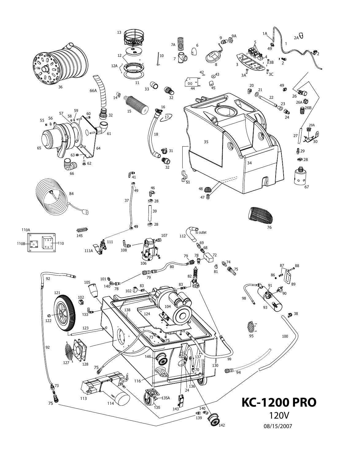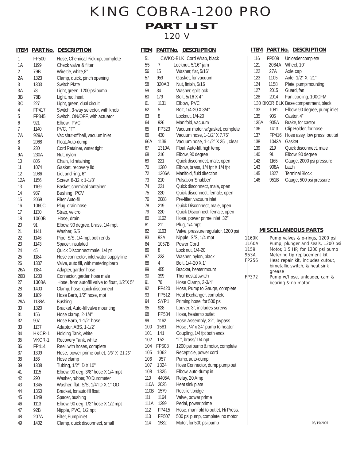## KING COBRA-1200 PRO **PART LIST** 120 V

#### **ITEM PART No. DESCRIPTION**

| 1        | FP500  | Hose, Chemical Pick-up, complete                                   |
|----------|--------|--------------------------------------------------------------------|
| 1A       | 1199   | Check valve & filter                                               |
| 2        | 79B    | Wire tie, white, 8"                                                |
| 2Α       | 1323   | Clamp, quick, pinch opening                                        |
| 3        | 1303   | <b>Switch Plate</b>                                                |
| 3A       | 78     | Light, green, 1200 psi pump                                        |
| 3B       | 78B    | Light, red, heat                                                   |
| 3C       | 227    | Light, green, dual circuit                                         |
| 4        | FP417  | Switch, 3-way selector, with knob                                  |
| 5        | FP345  | Switch, ON/OFF, with actuator                                      |
| 6        | 921    | Elbow, PVC                                                         |
| 7        | 1140   | PVC, "T"                                                           |
| 7A       | 929A   | Vac shut-off ball, vacuum inlet                                    |
| 8        | 2068   | Float, Auto-dump                                                   |
| 9        | 230    | Cord Retainer, water tight                                         |
| 9Α       | 230A   | Nut, nylon                                                         |
| 10       | 805    | Chain, lid retaining                                               |
| 11       | 1074   | Gasket, recovery lid                                               |
| 12       | 2086   | Lid, and ring, 6"                                                  |
| 12A      | 1156   | Screw, 8-32 x 1-1/8"                                               |
| 13       | 1169   | Basket, chemical container                                         |
| 14       |        |                                                                    |
| 15       | 937    | Bushing, PCV                                                       |
|          | 2069   | Filter, Auto-fill                                                  |
| 16       | 1060C  | Plug, drain hose                                                   |
| 17       | 1130   | Strap, velcro                                                      |
| 18       | 1060B  | Hose, drain                                                        |
| 20       | 91     | Elbow, 90 degree, brass, 1/4 mpt                                   |
| 21       | 1141   | Washer, S/S                                                        |
| 22       | 1146   | Pipe, S/S, 1/4 mpt both ends                                       |
| 23       | 1143   | Spacer, insulated                                                  |
| 24       | 45     | Quick Disconnect male, 1/4 pt                                      |
| 25       | 1184   | Hose connector, inlet water supply line                            |
| 26       | 1307   | Valve, auto fill, with metering barb                               |
| 26A      | 1184   | Adapter, garden hose                                               |
| 26B      | 1200   | Connector, garden hose male                                        |
| 27       | 1308A  | Hose, from autofill valve to float, 1/2"X 5"                       |
| 28       | 1400   | Clamp, hose, quick disconnect                                      |
| 29       | 1189   | Hose Barb, 1/2" hose, mpt                                          |
| 29A      | 1188A  | <b>Bushing</b>                                                     |
| 30       | 1320   | Bracket, Auto-fill valve mounting                                  |
| 31       | 156    | Hose clamp, 2-1/4"                                                 |
| 32       | 907    | Hose Barb, 1-1/2" hose                                             |
| 33       | 1137   | Adaptor, ABS, 1-1/2"                                               |
| 34       | HKCR-1 | Holding Tank, white                                                |
| 35       | VKCR-1 | Recovery Tank, white                                               |
| 36       | FP414  | Reel, with hoses, complete                                         |
| 37       | 1309   | Hose, power prime outlet, 3/8" X 21.25"                            |
| 38       | 166    | Hose clamp                                                         |
| 39       | 1308   | Tubing, 1/2" ID X 10"                                              |
|          |        |                                                                    |
| 41<br>42 | 1115   | Elbow, 90 deg, 3/8" hose X 1/4 mpt<br>Washer, rubber, 70 Durometer |
|          | 290    |                                                                    |
| 43       | 1345   | Washer, flat, S/S, 1/4"ID X 1" OD                                  |
| 44       | 1350   | Bracket, for auto fill float                                       |
| 45       | 1349   | Spacer, bushing                                                    |
| 46       | 1113   | Elbow, 90 deg, 1/2" hose X 1/2 mpt                                 |
| 47       | 92B    | Nipple, PVC, 1/2 npt                                               |
| 48       | 207A   | Filter, Pump inlet                                                 |
| 49       | 1402   | Clamp, quick disconnect, small                                     |

#### **ITEM PART No. DESCRIPTION**

| 51   |       | CWKC-BLK Cord Wrap, black           |
|------|-------|-------------------------------------|
| 55   | 7     | Locknut, 5/16" jam                  |
| 56   | 15    | Washer, flat, 5/16"                 |
| 57   | 959   | Gasket, for vacuum                  |
| 58   | 320AB | Nut, finish, 5/16                   |
| 59   | 34    | Washer, split lock                  |
|      | 179   |                                     |
| 60   |       | Bolt, 5/16 X 4"                     |
| 61   | 1131  | Elbow, PVC                          |
| 62   | 5     | Bolt, 1/4-20 X 3/4"                 |
| 63   | 8     | Locknut, 1/4-20                     |
| 64   | 926   | Manifold, vacuum                    |
| 65   | FP323 | Vacuum motor, w/gasket, complete    |
| 66   | 430   | Vacuum hose, 1-1/2" X 7.75"         |
| 66A  | 1136  | Vacuum hose, 1-1/2" X 25, clear     |
| 67   | 1310A | Float, Auto-fill, high temp.        |
| 68   | 216   | Elbow, 90 degree                    |
| 69   | 221   |                                     |
|      |       | Quick disconnect, male, open        |
| 70   | 1280  | Elbow, brass, 1/4 fpt X 1/4 fpt     |
| 72   | 1306A | Manifold, fluid direction           |
| 73   | 210   | Pulsation 'Snubber'                 |
| 74   | 221   | Quick disconnect, male, open        |
| 75   | 220   | Quick disconnect, female, open      |
| 76   | 2088  | Pre-filter, vacuum inlet            |
| 78   | 219   | Quick Disconnect, male, open        |
| 79   | 220   | Quick Disconnect, female, open      |
| 80   | 1162  | Hose, power prime inlet, 32"        |
| 81   | 211   | Plug, 1/4 mpt                       |
| 82   | 1163  | Valve, pressure regulator, 1200 psi |
| 83   | 92A   |                                     |
|      |       | Nipple, S/S, 1/4 mpt                |
| 84   | 1057B | Power Cord                          |
| 86   | 8     | Lock nut, 1/4-20                    |
| 87   | 233   | Washer, nylon, black                |
| 88   | 4     | Bolt, 1/4-20 X 1"                   |
| 89   | 455   | Bracket, heater mount               |
| 90   | 399   | Thermostat switch                   |
| 91   | 76    | Hose Clamp, 2-3/4"                  |
| 92   | FP420 | Hose, Pump to Gauge, complete       |
| 93   | FP512 | Heat Exchanger, complete            |
| 94   | SYP1  | Priming hose, for 500 psi           |
| 95   | 928   | Louver, 3", includes screws         |
| 98   | FP534 | Hose, heater to outlet              |
|      |       |                                     |
| 99   | 1162  | Hose Assembly, 32", bypass          |
| 100  | 1581  | Hose, 1/4" x 24" pump to heater     |
| 101  | 141   | Coupling, 1/4 fpt both ends         |
| 102  | 152   | "T", brass/ 1/4 npt                 |
| 104  | FP508 | 1200 psi pump & motor, complete     |
| 105  | 1062  | Recepticle, power cord              |
| 106  | 957   | Pump, auto-dump                     |
| 107  | 1324  | Hose Connector, dump pump out       |
| 108  | 1325  | Elbow, auto-dump in                 |
| 110  | 4405A | Relay, 20 Amp                       |
| 110A | 2025  | Heat sink plate                     |
| 110B | 1579  | Rectifier, bridge                   |
| 111  |       |                                     |
|      | 1164  | Valve, power prime                  |
| 111A | 1299  | Pedal, power prime                  |
| 112  | FP415 | Hose, manifold to outlet, Hi Press. |
| 113  | FP507 | 500 psi pump, complete, no motor    |
| 114  | 1582  | Motor, for 500 psi pump             |
|      |       |                                     |

#### **ITEM PART No. DESCRIPTION**

| 116  | FP509 | Unloader complete                    |
|------|-------|--------------------------------------|
| 121  | 2084A | Wheel, 10"                           |
| 122  | 27A   | Axle cap                             |
| 123  | 1105  | Axle, 1/2" X 21"                     |
| 124  | 1158  | Plate, pump mounting                 |
| 127  | 2015  | Guard, fan                           |
| 128  | 2014  | Fan, cooling, 100CFM                 |
|      |       | 130 BKCR BLK Base compartment, black |
| 133  | 1081  | Elbow, 90 degree, pump inlet         |
| 135  | 905   | Castor, 4"                           |
| 135A | 905A  | Brake, for castor                    |
| 136  | 1413  | Clip Holder, for hose                |
| 137  | FP416 | Hose assy, low press. outltet        |
| 138  | 1043A | Gasket                               |
| 139  | 219   | Quick disconnect, male               |
| 140  | 91    | Elbow, 90 degree                     |
| 142  | 1165  | Gauge, 2000 psi pressure             |
| 143  | 908A  | Latch                                |
| 145  | 1327  | <b>Terminal Block</b>                |
| 146  | 951B  | Gauge, 500 psi pressure              |

#### **MISCELLANEOUS PARTS**

| 1160K | Pump valves & o-rings, 1200 psi   |
|-------|-----------------------------------|
| 1160A | Pump, plunger and seals, 1200 psi |
| 1159  | Motor, 1.5 HP, for 1200 psi pump  |
| 953A  | Metering tip replacement kit      |
| FP256 | Heat repair kit, includes cutout, |
|       | bimetallic switch, & heat sink    |
|       | grease                            |
| FP372 | Pump w/hose, unloader, cam &      |
|       | bearing & no motor                |
|       |                                   |